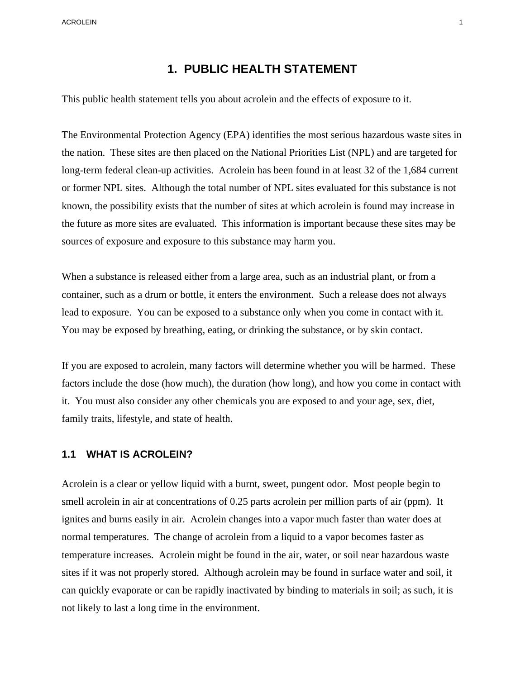ACROLEIN 1

# **1. PUBLIC HEALTH STATEMENT**

This public health statement tells you about acrolein and the effects of exposure to it.

The Environmental Protection Agency (EPA) identifies the most serious hazardous waste sites in the nation. These sites are then placed on the National Priorities List (NPL) and are targeted for long-term federal clean-up activities. Acrolein has been found in at least 32 of the 1,684 current or former NPL sites. Although the total number of NPL sites evaluated for this substance is not known, the possibility exists that the number of sites at which acrolein is found may increase in the future as more sites are evaluated. This information is important because these sites may be sources of exposure and exposure to this substance may harm you.

When a substance is released either from a large area, such as an industrial plant, or from a container, such as a drum or bottle, it enters the environment. Such a release does not always lead to exposure. You can be exposed to a substance only when you come in contact with it. You may be exposed by breathing, eating, or drinking the substance, or by skin contact.

If you are exposed to acrolein, many factors will determine whether you will be harmed. These factors include the dose (how much), the duration (how long), and how you come in contact with it. You must also consider any other chemicals you are exposed to and your age, sex, diet, family traits, lifestyle, and state of health.

### **1.1 WHAT IS ACROLEIN?**

Acrolein is a clear or yellow liquid with a burnt, sweet, pungent odor. Most people begin to smell acrolein in air at concentrations of 0.25 parts acrolein per million parts of air (ppm). It ignites and burns easily in air. Acrolein changes into a vapor much faster than water does at normal temperatures. The change of acrolein from a liquid to a vapor becomes faster as temperature increases. Acrolein might be found in the air, water, or soil near hazardous waste sites if it was not properly stored. Although acrolein may be found in surface water and soil, it can quickly evaporate or can be rapidly inactivated by binding to materials in soil; as such, it is not likely to last a long time in the environment.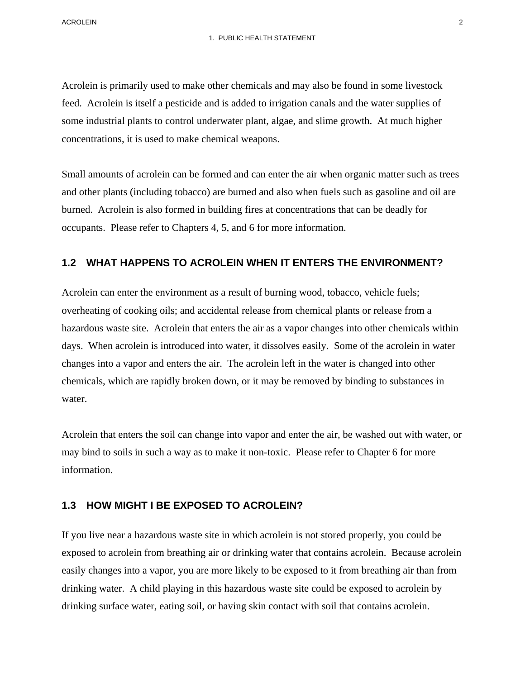Acrolein is primarily used to make other chemicals and may also be found in some livestock feed. Acrolein is itself a pesticide and is added to irrigation canals and the water supplies of some industrial plants to control underwater plant, algae, and slime growth. At much higher concentrations, it is used to make chemical weapons.

Small amounts of acrolein can be formed and can enter the air when organic matter such as trees and other plants (including tobacco) are burned and also when fuels such as gasoline and oil are burned. Acrolein is also formed in building fires at concentrations that can be deadly for occupants. Please refer to Chapters 4, 5, and 6 for more information.

#### **1.2 WHAT HAPPENS TO ACROLEIN WHEN IT ENTERS THE ENVIRONMENT?**

Acrolein can enter the environment as a result of burning wood, tobacco, vehicle fuels; overheating of cooking oils; and accidental release from chemical plants or release from a hazardous waste site. Acrolein that enters the air as a vapor changes into other chemicals within days. When acrolein is introduced into water, it dissolves easily. Some of the acrolein in water changes into a vapor and enters the air. The acrolein left in the water is changed into other chemicals, which are rapidly broken down, or it may be removed by binding to substances in water.

Acrolein that enters the soil can change into vapor and enter the air, be washed out with water, or may bind to soils in such a way as to make it non-toxic. Please refer to Chapter 6 for more information.

#### **1.3 HOW MIGHT I BE EXPOSED TO ACROLEIN?**

If you live near a hazardous waste site in which acrolein is not stored properly, you could be exposed to acrolein from breathing air or drinking water that contains acrolein. Because acrolein easily changes into a vapor, you are more likely to be exposed to it from breathing air than from drinking water. A child playing in this hazardous waste site could be exposed to acrolein by drinking surface water, eating soil, or having skin contact with soil that contains acrolein.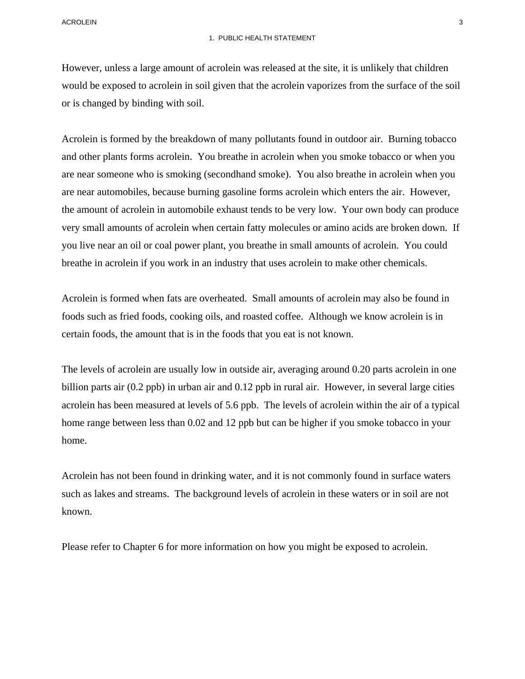However, unless a large amount of acrolein was released at the site, it is unlikely that children would be exposed to acrolein in soil given that the acrolein vaporizes from the surface of the soil or is changed by binding with soil.

Acrolein is formed by the breakdown of many pollutants found in outdoor air. Burning tobacco and other plants forms acrolein. You breathe in acrolein when you smoke tobacco or when you are near someone who is smoking (secondhand smoke). You also breathe in acrolein when you are near automobiles, because burning gasoline forms acrolein which enters the air. However, the amount of acrolein in automobile exhaust tends to be very low. Your own body can produce very small amounts of acrolein when certain fatty molecules or amino acids are broken down. If you live near an oil or coal power plant, you breathe in small amounts of acrolein. You could breathe in acrolein if you work in an industry that uses acrolein to make other chemicals.

Acrolein is formed when fats are overheated. Small amounts of acrolein may also be found in foods such as fried foods, cooking oils, and roasted coffee. Although we know acrolein is in certain foods, the amount that is in the foods that you eat is not known.

The levels of acrolein are usually low in outside air, averaging around 0.20 parts acrolein in one billion parts air (0.2 ppb) in urban air and 0.12 ppb in rural air. However, in several large cities acrolein has been measured at levels of 5.6 ppb. The levels of acrolein within the air of a typical home range between less than 0.02 and 12 ppb but can be higher if you smoke tobacco in your home.

Acrolein has not been found in drinking water, and it is not commonly found in surface waters such as lakes and streams. The background levels of acrolein in these waters or in soil are not known.

Please refer to Chapter 6 for more information on how you might be exposed to acrolein.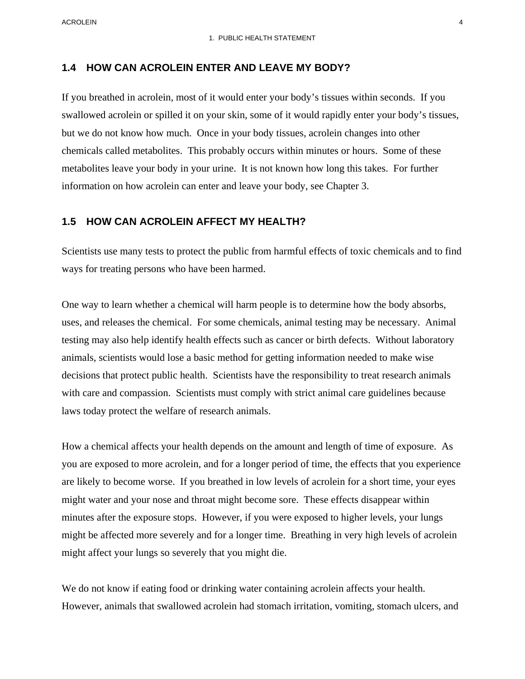ACROLEIN 4

### **1.4 HOW CAN ACROLEIN ENTER AND LEAVE MY BODY?**

If you breathed in acrolein, most of it would enter your body's tissues within seconds. If you swallowed acrolein or spilled it on your skin, some of it would rapidly enter your body's tissues, but we do not know how much. Once in your body tissues, acrolein changes into other chemicals called metabolites. This probably occurs within minutes or hours. Some of these metabolites leave your body in your urine. It is not known how long this takes. For further information on how acrolein can enter and leave your body, see Chapter 3.

#### **1.5 HOW CAN ACROLEIN AFFECT MY HEALTH?**

Scientists use many tests to protect the public from harmful effects of toxic chemicals and to find ways for treating persons who have been harmed.

One way to learn whether a chemical will harm people is to determine how the body absorbs, uses, and releases the chemical. For some chemicals, animal testing may be necessary. Animal testing may also help identify health effects such as cancer or birth defects. Without laboratory animals, scientists would lose a basic method for getting information needed to make wise decisions that protect public health. Scientists have the responsibility to treat research animals with care and compassion. Scientists must comply with strict animal care guidelines because laws today protect the welfare of research animals.

How a chemical affects your health depends on the amount and length of time of exposure. As you are exposed to more acrolein, and for a longer period of time, the effects that you experience are likely to become worse. If you breathed in low levels of acrolein for a short time, your eyes might water and your nose and throat might become sore. These effects disappear within minutes after the exposure stops. However, if you were exposed to higher levels, your lungs might be affected more severely and for a longer time. Breathing in very high levels of acrolein might affect your lungs so severely that you might die.

We do not know if eating food or drinking water containing acrolein affects your health. However, animals that swallowed acrolein had stomach irritation, vomiting, stomach ulcers, and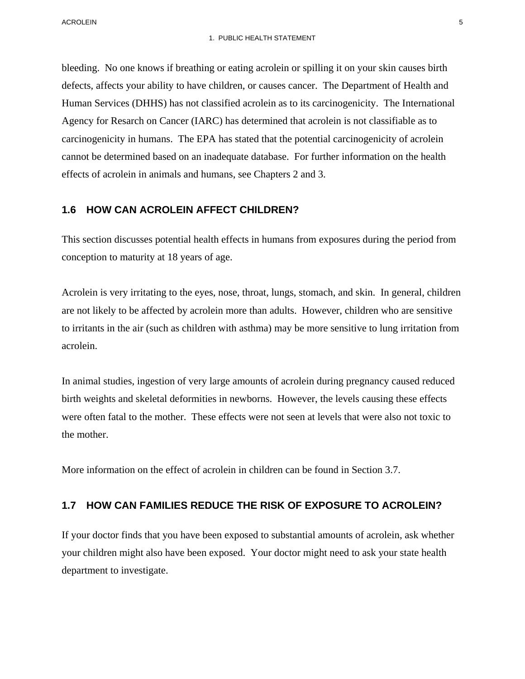bleeding. No one knows if breathing or eating acrolein or spilling it on your skin causes birth defects, affects your ability to have children, or causes cancer. The Department of Health and Human Services (DHHS) has not classified acrolein as to its carcinogenicity. The International Agency for Resarch on Cancer (IARC) has determined that acrolein is not classifiable as to carcinogenicity in humans. The EPA has stated that the potential carcinogenicity of acrolein cannot be determined based on an inadequate database. For further information on the health effects of acrolein in animals and humans, see Chapters 2 and 3.

#### **1.6 HOW CAN ACROLEIN AFFECT CHILDREN?**

This section discusses potential health effects in humans from exposures during the period from conception to maturity at 18 years of age.

Acrolein is very irritating to the eyes, nose, throat, lungs, stomach, and skin. In general, children are not likely to be affected by acrolein more than adults. However, children who are sensitive to irritants in the air (such as children with asthma) may be more sensitive to lung irritation from acrolein.

In animal studies, ingestion of very large amounts of acrolein during pregnancy caused reduced birth weights and skeletal deformities in newborns. However, the levels causing these effects were often fatal to the mother. These effects were not seen at levels that were also not toxic to the mother.

More information on the effect of acrolein in children can be found in Section 3.7.

#### **1.7 HOW CAN FAMILIES REDUCE THE RISK OF EXPOSURE TO ACROLEIN?**

If your doctor finds that you have been exposed to substantial amounts of acrolein, ask whether your children might also have been exposed. Your doctor might need to ask your state health department to investigate.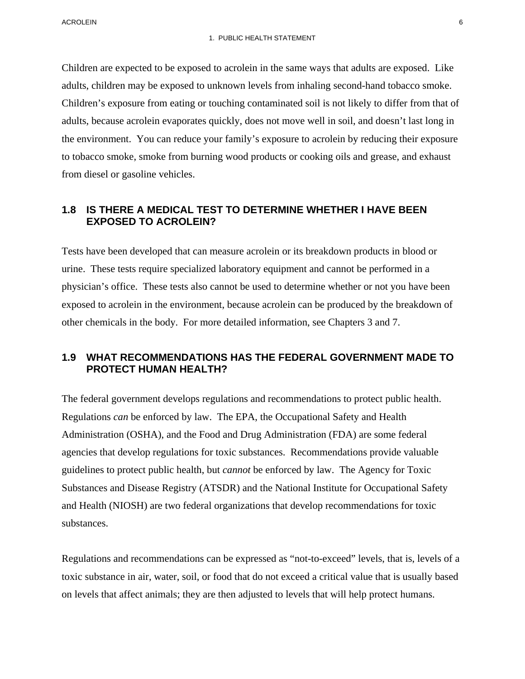Children are expected to be exposed to acrolein in the same ways that adults are exposed. Like adults, children may be exposed to unknown levels from inhaling second-hand tobacco smoke. Children's exposure from eating or touching contaminated soil is not likely to differ from that of adults, because acrolein evaporates quickly, does not move well in soil, and doesn't last long in the environment. You can reduce your family's exposure to acrolein by reducing their exposure to tobacco smoke, smoke from burning wood products or cooking oils and grease, and exhaust from diesel or gasoline vehicles.

## **1.8 IS THERE A MEDICAL TEST TO DETERMINE WHETHER I HAVE BEEN EXPOSED TO ACROLEIN?**

Tests have been developed that can measure acrolein or its breakdown products in blood or urine. These tests require specialized laboratory equipment and cannot be performed in a physician's office. These tests also cannot be used to determine whether or not you have been exposed to acrolein in the environment, because acrolein can be produced by the breakdown of other chemicals in the body. For more detailed information, see Chapters 3 and 7.

## **1.9 WHAT RECOMMENDATIONS HAS THE FEDERAL GOVERNMENT MADE TO PROTECT HUMAN HEALTH?**

The federal government develops regulations and recommendations to protect public health. Regulations *can* be enforced by law. The EPA, the Occupational Safety and Health Administration (OSHA), and the Food and Drug Administration (FDA) are some federal agencies that develop regulations for toxic substances. Recommendations provide valuable guidelines to protect public health, but *cannot* be enforced by law. The Agency for Toxic Substances and Disease Registry (ATSDR) and the National Institute for Occupational Safety and Health (NIOSH) are two federal organizations that develop recommendations for toxic substances.

Regulations and recommendations can be expressed as "not-to-exceed" levels, that is, levels of a toxic substance in air, water, soil, or food that do not exceed a critical value that is usually based on levels that affect animals; they are then adjusted to levels that will help protect humans.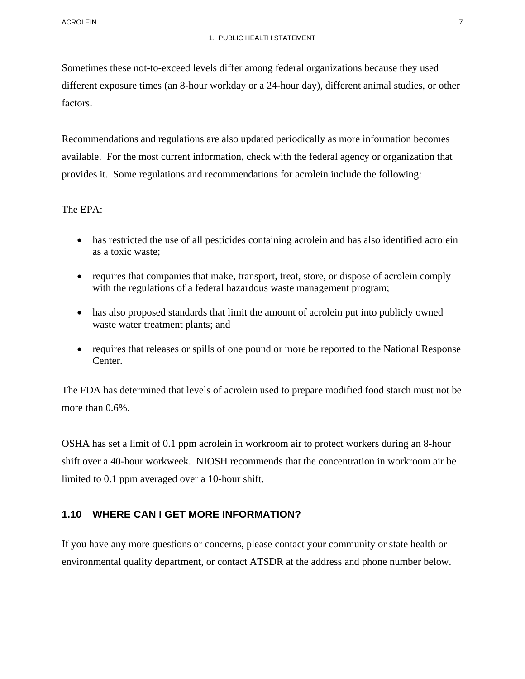Sometimes these not-to-exceed levels differ among federal organizations because they used different exposure times (an 8-hour workday or a 24-hour day), different animal studies, or other factors.

Recommendations and regulations are also updated periodically as more information becomes available. For the most current information, check with the federal agency or organization that provides it. Some regulations and recommendations for acrolein include the following:

The EPA:

- has restricted the use of all pesticides containing acrolein and has also identified acrolein as a toxic waste;
- requires that companies that make, transport, treat, store, or dispose of acrolein comply with the regulations of a federal hazardous waste management program;
- has also proposed standards that limit the amount of acrolein put into publicly owned waste water treatment plants; and
- requires that releases or spills of one pound or more be reported to the National Response Center.

The FDA has determined that levels of acrolein used to prepare modified food starch must not be more than 0.6%.

OSHA has set a limit of 0.1 ppm acrolein in workroom air to protect workers during an 8-hour shift over a 40-hour workweek. NIOSH recommends that the concentration in workroom air be limited to 0.1 ppm averaged over a 10-hour shift.

## **1.10 WHERE CAN I GET MORE INFORMATION?**

If you have any more questions or concerns, please contact your community or state health or environmental quality department, or contact ATSDR at the address and phone number below.